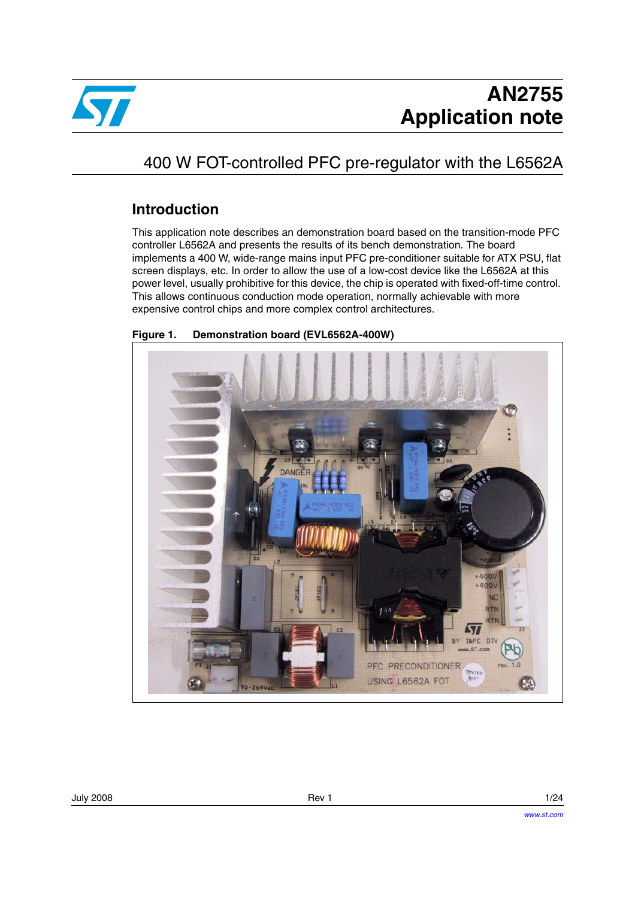

# 400 W FOT-controlled PFC pre-regulator with the L6562A

#### **Introduction**

This application note describes an demonstration board based on the transition-mode PFC controller L6562A and presents the results of its bench demonstration. The board implements a 400 W, wide-range mains input PFC pre-conditioner suitable for ATX PSU, flat screen displays, etc. In order to allow the use of a low-cost device like the L6562A at this power level, usually prohibitive for this device, the chip is operated with fixed-off-time control. This allows continuous conduction mode operation, normally achievable with more expensive control chips and more complex control architectures.

<span id="page-0-0"></span>**Figure 1. Demonstration board (EVL6562A-400W)**

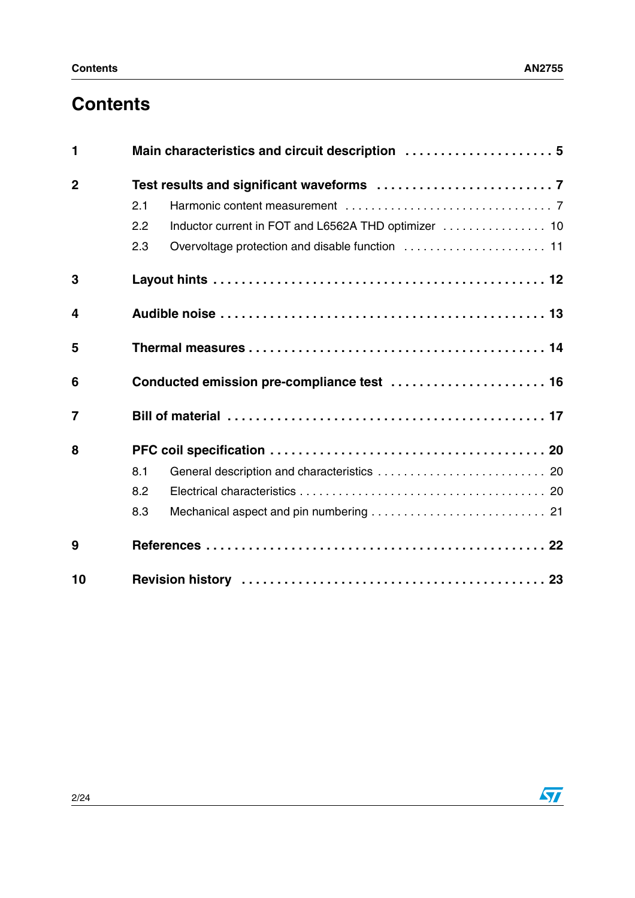# **Contents**

| 1              |                                                             |  |  |  |  |
|----------------|-------------------------------------------------------------|--|--|--|--|
| $\overline{2}$ |                                                             |  |  |  |  |
|                | 2.1                                                         |  |  |  |  |
|                | Inductor current in FOT and L6562A THD optimizer  10<br>2.2 |  |  |  |  |
|                | 2.3                                                         |  |  |  |  |
| 3              |                                                             |  |  |  |  |
| 4              |                                                             |  |  |  |  |
| 5              |                                                             |  |  |  |  |
| 6              | Conducted emission pre-compliance test  16                  |  |  |  |  |
| $\overline{7}$ |                                                             |  |  |  |  |
| 8              |                                                             |  |  |  |  |
|                | 8.1                                                         |  |  |  |  |
|                | 8.2                                                         |  |  |  |  |
|                | 8.3                                                         |  |  |  |  |
| 9              |                                                             |  |  |  |  |
| 10             |                                                             |  |  |  |  |

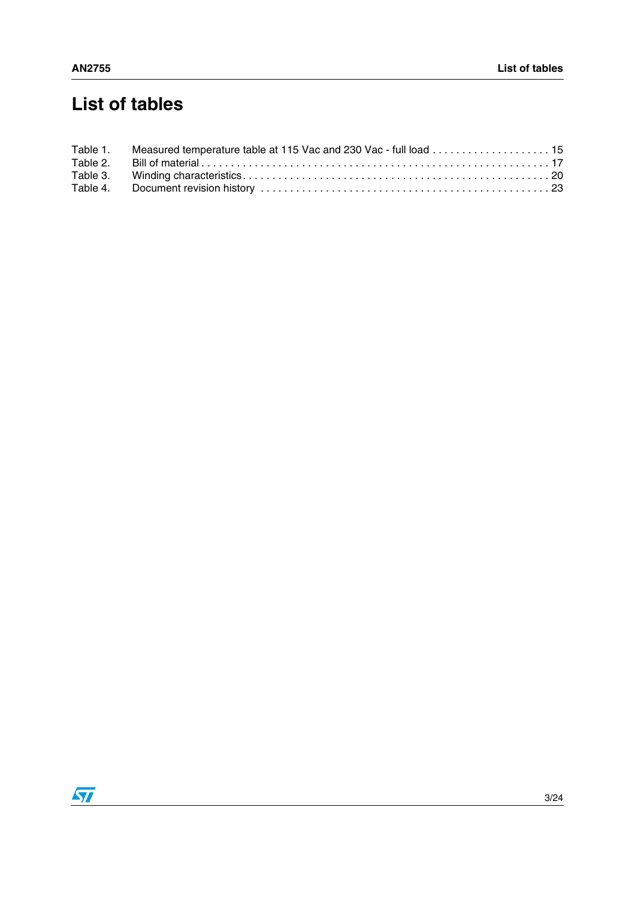# **List of tables**

| Table 1. Measured temperature table at 115 Vac and 230 Vac - full load 15 |  |
|---------------------------------------------------------------------------|--|
|                                                                           |  |
|                                                                           |  |
|                                                                           |  |

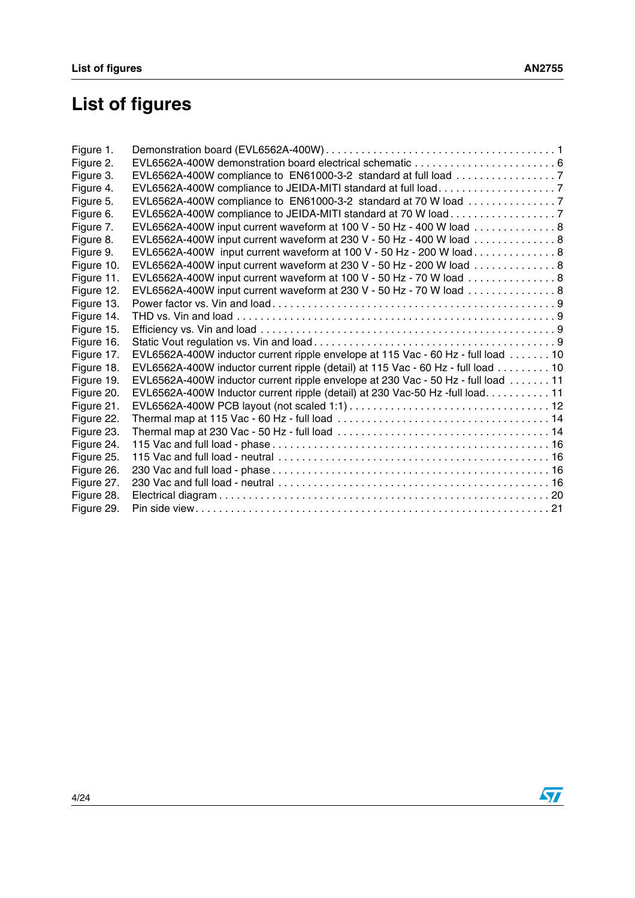# **List of figures**

| Figure 1.  |                                                                                  |  |
|------------|----------------------------------------------------------------------------------|--|
| Figure 2.  |                                                                                  |  |
| Figure 3.  |                                                                                  |  |
| Figure 4.  |                                                                                  |  |
| Figure 5.  | EVL6562A-400W compliance to EN61000-3-2 standard at 70 W load 7                  |  |
| Figure 6.  | EVL6562A-400W compliance to JEIDA-MITI standard at 70 W load 7                   |  |
| Figure 7.  | EVL6562A-400W input current waveform at 100 V - 50 Hz - 400 W load 8             |  |
| Figure 8.  | EVL6562A-400W input current waveform at 230 V - 50 Hz - 400 W load 8             |  |
| Figure 9.  | EVL6562A-400W input current waveform at 100 V - 50 Hz - 200 W load 8             |  |
| Figure 10. | EVL6562A-400W input current waveform at 230 V - 50 Hz - 200 W load 8             |  |
| Figure 11. | EVL6562A-400W input current waveform at 100 V - 50 Hz - 70 W load  8             |  |
| Figure 12. | EVL6562A-400W input current waveform at 230 V - 50 Hz - 70 W load 8              |  |
| Figure 13. |                                                                                  |  |
| Figure 14. |                                                                                  |  |
| Figure 15. |                                                                                  |  |
| Figure 16. |                                                                                  |  |
| Figure 17. | EVL6562A-400W inductor current ripple envelope at 115 Vac - 60 Hz - full load 10 |  |
| Figure 18. | EVL6562A-400W inductor current ripple (detail) at 115 Vac - 60 Hz - full load 10 |  |
| Figure 19. | EVL6562A-400W inductor current ripple envelope at 230 Vac - 50 Hz - full load 11 |  |
| Figure 20. | EVL6562A-400W Inductor current ripple (detail) at 230 Vac-50 Hz -full load. 11   |  |
| Figure 21. |                                                                                  |  |
| Figure 22. |                                                                                  |  |
| Figure 23. |                                                                                  |  |
| Figure 24. |                                                                                  |  |
| Figure 25. |                                                                                  |  |
| Figure 26. |                                                                                  |  |
| Figure 27. |                                                                                  |  |
| Figure 28. |                                                                                  |  |
| Figure 29. |                                                                                  |  |

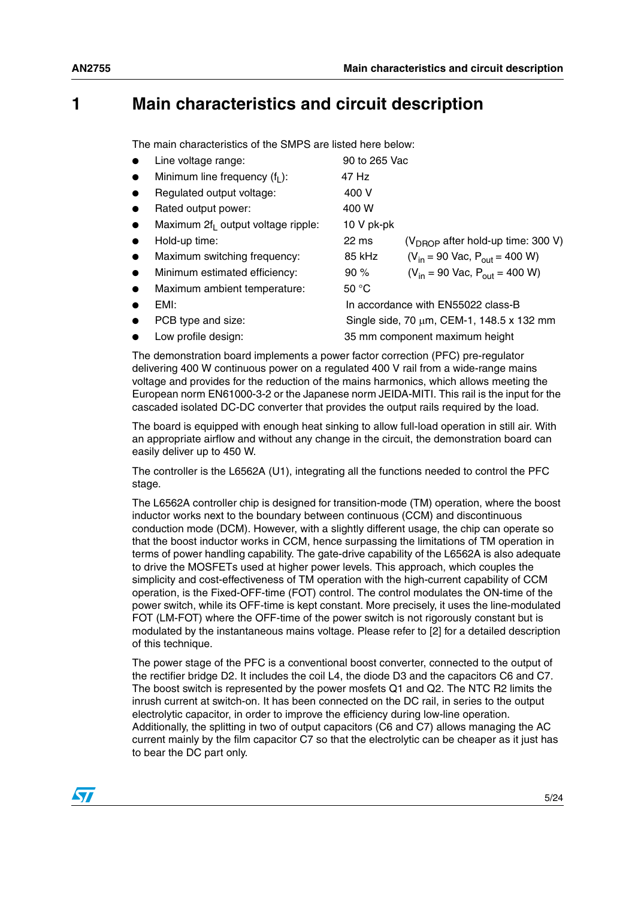### <span id="page-4-0"></span>**1 Main characteristics and circuit description**

The main characteristics of the SMPS are listed here below:

|           | Line voltage range:                   | 90 to 265 Vac   |                                           |
|-----------|---------------------------------------|-----------------|-------------------------------------------|
| $\bullet$ | Minimum line frequency $(f1)$ :       | 47 Hz           |                                           |
|           | Regulated output voltage:             | 400 V           |                                           |
| $\bullet$ | Rated output power:                   | 400 W           |                                           |
| $\bullet$ | Maximum $2f_1$ output voltage ripple: | 10 V pk-pk      |                                           |
|           | Hold-up time:                         | $22 \text{ ms}$ | $(V_{DROP}$ after hold-up time: 300 V)    |
| $\bullet$ | Maximum switching frequency:          | 85 kHz          | $(V_{in} = 90$ Vac, $P_{out} = 400$ W)    |
| $\bullet$ | Minimum estimated efficiency:         | 90%             | $(V_{in} = 90$ Vac, $P_{out} = 400$ W)    |
|           | Maximum ambient temperature:          | 50 $^{\circ}$ C |                                           |
|           | EMI:                                  |                 | In accordance with EN55022 class-B        |
| $\bullet$ | PCB type and size:                    |                 | Single side, 70 μm, CEM-1, 148.5 x 132 mm |
|           | Low profile design:                   |                 | 35 mm component maximum height            |

The demonstration board implements a power factor correction (PFC) pre-regulator delivering 400 W continuous power on a regulated 400 V rail from a wide-range mains voltage and provides for the reduction of the mains harmonics, which allows meeting the European norm EN61000-3-2 or the Japanese norm JEIDA-MITI. This rail is the input for the cascaded isolated DC-DC converter that provides the output rails required by the load.

The board is equipped with enough heat sinking to allow full-load operation in still air. With an appropriate airflow and without any change in the circuit, the demonstration board can easily deliver up to 450 W.

The controller is the L6562A (U1), integrating all the functions needed to control the PFC stage.

The L6562A controller chip is designed for transition-mode (TM) operation, where the boost inductor works next to the boundary between continuous (CCM) and discontinuous conduction mode (DCM). However, with a slightly different usage, the chip can operate so that the boost inductor works in CCM, hence surpassing the limitations of TM operation in terms of power handling capability. The gate-drive capability of the L6562A is also adequate to drive the MOSFETs used at higher power levels. This approach, which couples the simplicity and cost-effectiveness of TM operation with the high-current capability of CCM operation, is the Fixed-OFF-time (FOT) control. The control modulates the ON-time of the power switch, while its OFF-time is kept constant. More precisely, it uses the line-modulated FOT (LM-FOT) where the OFF-time of the power switch is not rigorously constant but is modulated by the instantaneous mains voltage. Please refer to [2] for a detailed description of this technique.

The power stage of the PFC is a conventional boost converter, connected to the output of the rectifier bridge D2. It includes the coil L4, the diode D3 and the capacitors C6 and C7. The boost switch is represented by the power mosfets Q1 and Q2. The NTC R2 limits the inrush current at switch-on. It has been connected on the DC rail, in series to the output electrolytic capacitor, in order to improve the efficiency during low-line operation. Additionally, the splitting in two of output capacitors (C6 and C7) allows managing the AC current mainly by the film capacitor C7 so that the electrolytic can be cheaper as it just has to bear the DC part only.

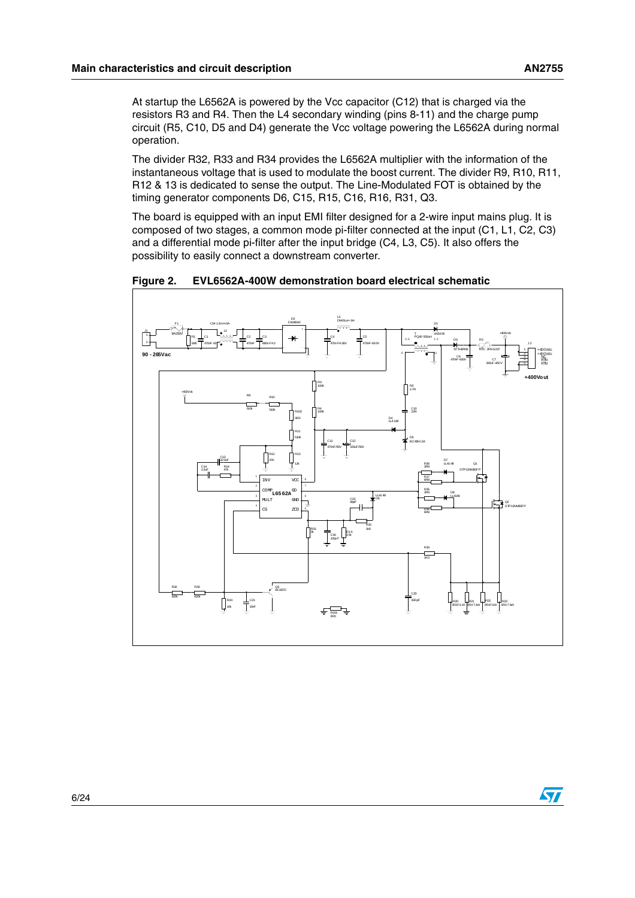At startup the L6562A is powered by the Vcc capacitor (C12) that is charged via the resistors R3 and R4. Then the L4 secondary winding (pins 8-11) and the charge pump circuit (R5, C10, D5 and D4) generate the Vcc voltage powering the L6562A during normal operation.

The divider R32, R33 and R34 provides the L6562A multiplier with the information of the instantaneous voltage that is used to modulate the boost current. The divider R9, R10, R11, R12 & 13 is dedicated to sense the output. The Line-Modulated FOT is obtained by the timing generator components D6, C15, R15, C16, R16, R31, Q3.

The board is equipped with an input EMI filter designed for a 2-wire input mains plug. It is composed of two stages, a common mode pi-filter connected at the input (C1, L1, C2, C3) and a differential mode pi-filter after the input bridge (C4, L3, C5). It also offers the possibility to easily connect a downstream converter.



<span id="page-5-0"></span>**Figure 2. EVL6562A-400W demonstration board electrical schematic** 

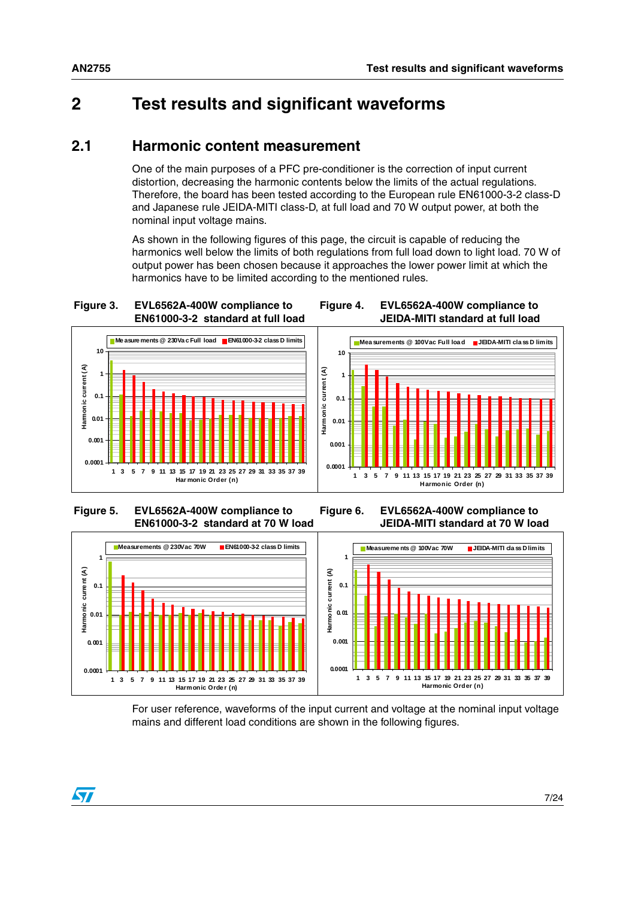### <span id="page-6-0"></span>**2 Test results and significant waveforms**

#### <span id="page-6-1"></span>**2.1 Harmonic content measurement**

One of the main purposes of a PFC pre-conditioner is the correction of input current distortion, decreasing the harmonic contents below the limits of the actual regulations. Therefore, the board has been tested according to the European rule EN61000-3-2 class-D and Japanese rule JEIDA-MITI class-D, at full load and 70 W output power, at both the nominal input voltage mains.

As shown in the following figures of this page, the circuit is capable of reducing the harmonics well below the limits of both regulations from full load down to light load. 70 W of output power has been chosen because it approaches the lower power limit at which the harmonics have to be limited according to the mentioned rules.

<span id="page-6-2"></span>**Figure 3. EVL6562A-400W compliance to EN61000-3-2 standard at full load**

<span id="page-6-3"></span>**Figure 4. EVL6562A-400W compliance to JEIDA-MITI standard at full load**





<span id="page-6-4"></span> **Figure 5. EVL6562A-400W compliance to EN61000-3-2 standard at 70 W load**

<span id="page-6-5"></span>**Figure 6. EVL6562A-400W compliance to JEIDA-MITI standard at 70 W load**



For user reference, waveforms of the input current and voltage at the nominal input voltage mains and different load conditions are shown in the following figures.



 $\sqrt{2}$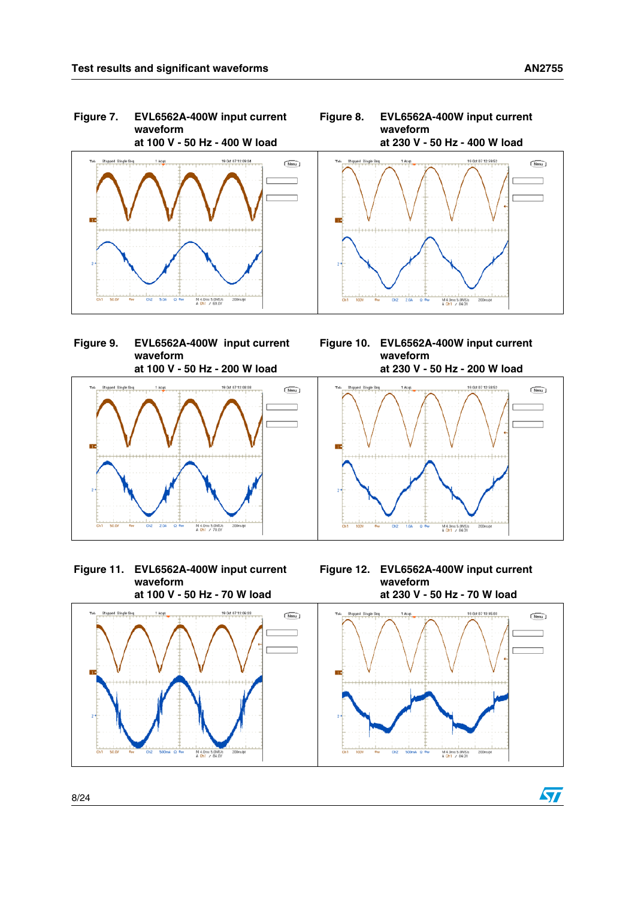<span id="page-7-0"></span>

<span id="page-7-2"></span>



<span id="page-7-3"></span><span id="page-7-1"></span>

<span id="page-7-4"></span>

<span id="page-7-5"></span>

M 4.0ms 5.0MS/s<br>A Ch1 / 84.0V

 $\sqrt{2}$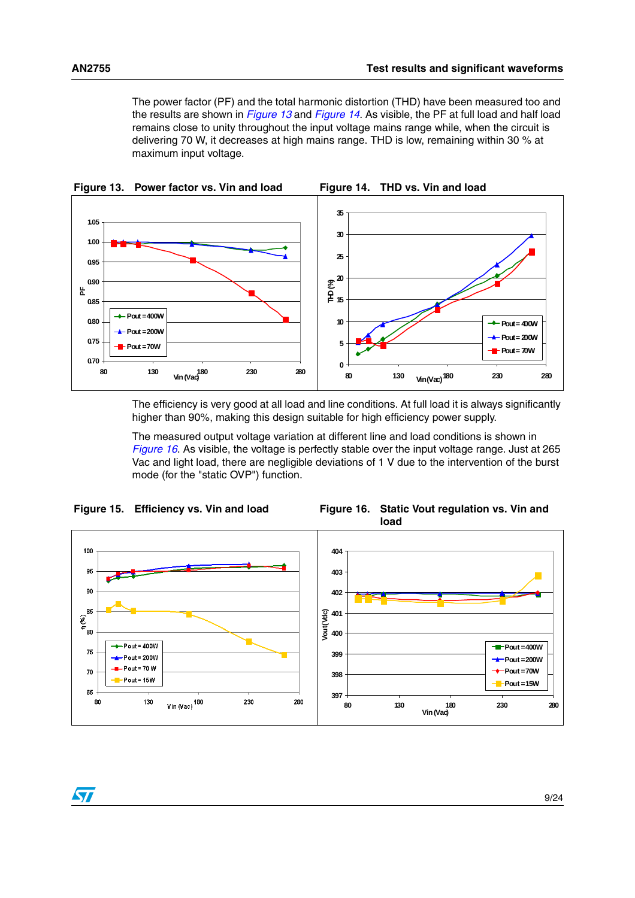$\sqrt{2}$ 

<span id="page-8-1"></span>The power factor (PF) and the total harmonic distortion (THD) have been measured too and the results are shown in *[Figure 13](#page-8-0)* and *[Figure 14](#page-8-1)*. As visible, the PF at full load and half load remains close to unity throughout the input voltage mains range while, when the circuit is delivering 70 W, it decreases at high mains range. THD is low, remaining within 30 % at maximum input voltage.

<span id="page-8-0"></span>

The efficiency is very good at all load and line conditions. At full load it is always significantly higher than 90%, making this design suitable for high efficiency power supply.

<span id="page-8-3"></span>The measured output voltage variation at different line and load conditions is shown in *[Figure 16](#page-8-3)*. As visible, the voltage is perfectly stable over the input voltage range. Just at 265 Vac and light load, there are negligible deviations of 1 V due to the intervention of the burst mode (for the "static OVP") function.

<span id="page-8-2"></span>

9/24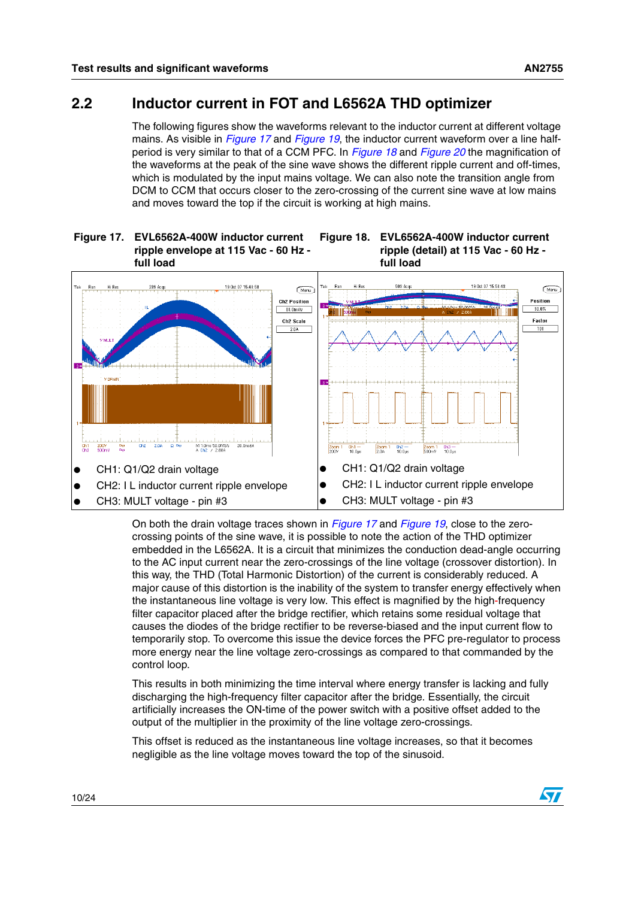#### <span id="page-9-0"></span>**2.2 Inductor current in FOT and L6562A THD optimizer**

The following figures show the waveforms relevant to the inductor current at different voltage mains. As visible in *[Figure 17](#page-9-1)* and *[Figure 19](#page-10-1)*, the inductor current waveform over a line halfperiod is very similar to that of a CCM PFC. In *[Figure 18](#page-9-2)* and *[Figure 20](#page-10-2)* the magnification of the waveforms at the peak of the sine wave shows the different ripple current and off-times, which is modulated by the input mains voltage. We can also note the transition angle from DCM to CCM that occurs closer to the zero-crossing of the current sine wave at low mains and moves toward the top if the circuit is working at high mains.

#### <span id="page-9-1"></span>**Figure 17. EVL6562A-400W inductor current ripple envelope at 115 Vac - 60 Hz full load Figure 18. EVL6562A-400W inductor current**



On both the drain voltage traces shown in *[Figure 17](#page-9-1)* and *[Figure 19](#page-10-1)*, close to the zerocrossing points of the sine wave, it is possible to note the action of the THD optimizer embedded in the L6562A. It is a circuit that minimizes the conduction dead-angle occurring to the AC input current near the zero-crossings of the line voltage (crossover distortion). In this way, the THD (Total Harmonic Distortion) of the current is considerably reduced. A major cause of this distortion is the inability of the system to transfer energy effectively when the instantaneous line voltage is very low. This effect is magnified by the high-frequency filter capacitor placed after the bridge rectifier, which retains some residual voltage that causes the diodes of the bridge rectifier to be reverse-biased and the input current flow to temporarily stop. To overcome this issue the device forces the PFC pre-regulator to process more energy near the line voltage zero-crossings as compared to that commanded by the control loop.

This results in both minimizing the time interval where energy transfer is lacking and fully discharging the high-frequency filter capacitor after the bridge. Essentially, the circuit artificially increases the ON-time of the power switch with a positive offset added to the output of the multiplier in the proximity of the line voltage zero-crossings.

This offset is reduced as the instantaneous line voltage increases, so that it becomes negligible as the line voltage moves toward the top of the sinusoid.

<span id="page-9-2"></span>**ripple (detail) at 115 Vac - 60 Hz -** 

**full load**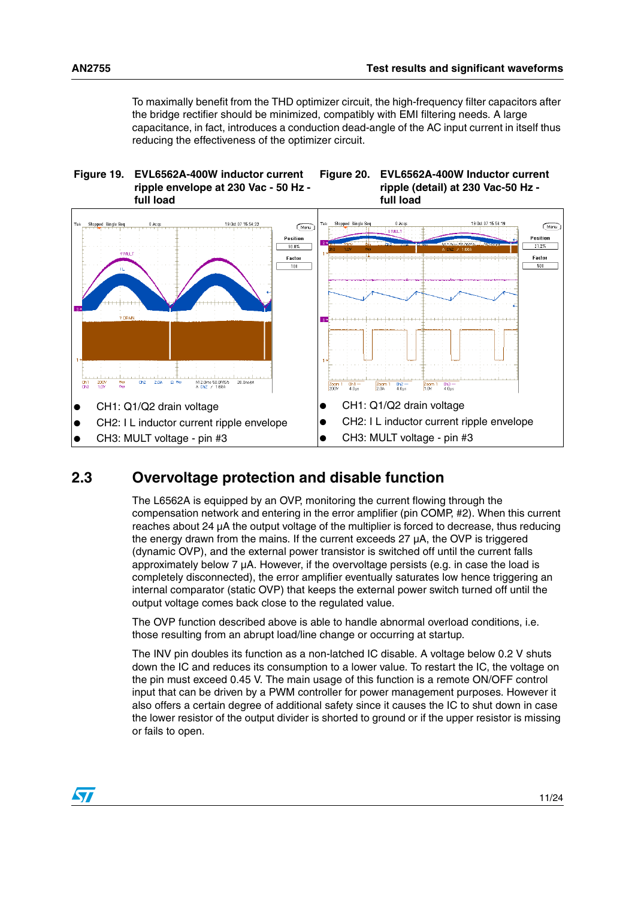<span id="page-10-2"></span>To maximally benefit from the THD optimizer circuit, the high-frequency filter capacitors after the bridge rectifier should be minimized, compatibly with EMI filtering needs. A large capacitance, in fact, introduces a conduction dead-angle of the AC input current in itself thus reducing the effectiveness of the optimizer circuit.

<span id="page-10-1"></span>

#### <span id="page-10-0"></span>**2.3 Overvoltage protection and disable function**

The L6562A is equipped by an OVP, monitoring the current flowing through the compensation network and entering in the error amplifier (pin COMP, #2). When this current reaches about 24 µA the output voltage of the multiplier is forced to decrease, thus reducing the energy drawn from the mains. If the current exceeds 27 µA, the OVP is triggered (dynamic OVP), and the external power transistor is switched off until the current falls approximately below 7 µA. However, if the overvoltage persists (e.g. in case the load is completely disconnected), the error amplifier eventually saturates low hence triggering an internal comparator (static OVP) that keeps the external power switch turned off until the output voltage comes back close to the regulated value.

The OVP function described above is able to handle abnormal overload conditions, i.e. those resulting from an abrupt load/line change or occurring at startup.

The INV pin doubles its function as a non-latched IC disable. A voltage below 0.2 V shuts down the IC and reduces its consumption to a lower value. To restart the IC, the voltage on the pin must exceed 0.45 V. The main usage of this function is a remote ON/OFF control input that can be driven by a PWM controller for power management purposes. However it also offers a certain degree of additional safety since it causes the IC to shut down in case the lower resistor of the output divider is shorted to ground or if the upper resistor is missing or fails to open.

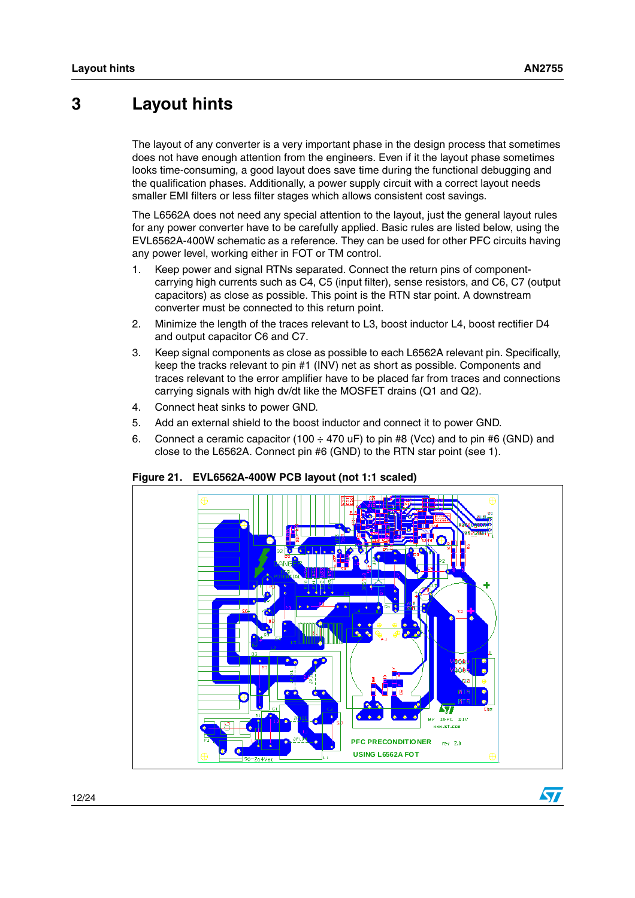### <span id="page-11-0"></span>**3 Layout hints**

The layout of any converter is a very important phase in the design process that sometimes does not have enough attention from the engineers. Even if it the layout phase sometimes looks time-consuming, a good layout does save time during the functional debugging and the qualification phases. Additionally, a power supply circuit with a correct layout needs smaller EMI filters or less filter stages which allows consistent cost savings.

The L6562A does not need any special attention to the layout, just the general layout rules for any power converter have to be carefully applied. Basic rules are listed below, using the EVL6562A-400W schematic as a reference. They can be used for other PFC circuits having any power level, working either in FOT or TM control.

- 1. Keep power and signal RTNs separated. Connect the return pins of componentcarrying high currents such as C4, C5 (input filter), sense resistors, and C6, C7 (output capacitors) as close as possible. This point is the RTN star point. A downstream converter must be connected to this return point.
- 2. Minimize the length of the traces relevant to L3, boost inductor L4, boost rectifier D4 and output capacitor C6 and C7.
- 3. Keep signal components as close as possible to each L6562A relevant pin. Specifically, keep the tracks relevant to pin #1 (INV) net as short as possible. Components and traces relevant to the error amplifier have to be placed far from traces and connections carrying signals with high dv/dt like the MOSFET drains (Q1 and Q2).
- 4. Connect heat sinks to power GND.
- 5. Add an external shield to the boost inductor and connect it to power GND.
- 6. Connect a ceramic capacitor (100  $\div$  470 uF) to pin #8 (Vcc) and to pin #6 (GND) and close to the L6562A. Connect pin #6 (GND) to the RTN star point (see 1).



<span id="page-11-1"></span>**Figure 21. EVL6562A-400W PCB layout (not 1:1 scaled)**

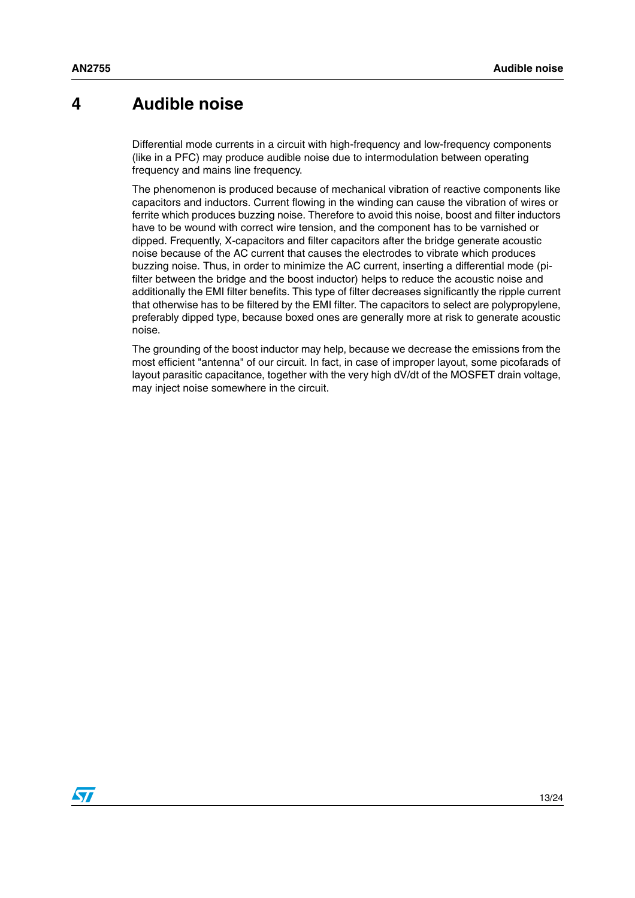### <span id="page-12-0"></span>**4 Audible noise**

Differential mode currents in a circuit with high-frequency and low-frequency components (like in a PFC) may produce audible noise due to intermodulation between operating frequency and mains line frequency.

The phenomenon is produced because of mechanical vibration of reactive components like capacitors and inductors. Current flowing in the winding can cause the vibration of wires or ferrite which produces buzzing noise. Therefore to avoid this noise, boost and filter inductors have to be wound with correct wire tension, and the component has to be varnished or dipped. Frequently, X-capacitors and filter capacitors after the bridge generate acoustic noise because of the AC current that causes the electrodes to vibrate which produces buzzing noise. Thus, in order to minimize the AC current, inserting a differential mode (pifilter between the bridge and the boost inductor) helps to reduce the acoustic noise and additionally the EMI filter benefits. This type of filter decreases significantly the ripple current that otherwise has to be filtered by the EMI filter. The capacitors to select are polypropylene, preferably dipped type, because boxed ones are generally more at risk to generate acoustic noise.

The grounding of the boost inductor may help, because we decrease the emissions from the most efficient "antenna" of our circuit. In fact, in case of improper layout, some picofarads of layout parasitic capacitance, together with the very high dV/dt of the MOSFET drain voltage, may inject noise somewhere in the circuit.

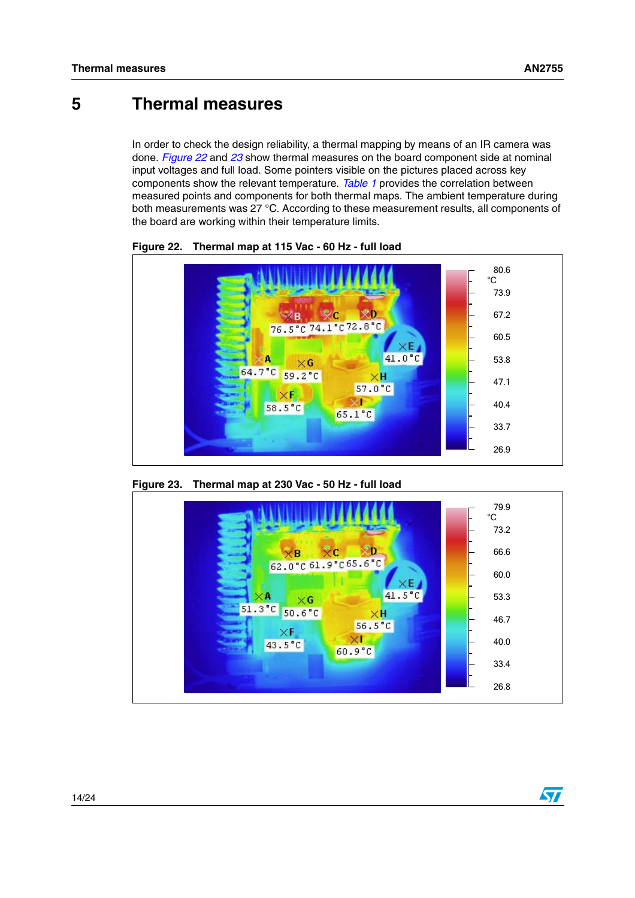### <span id="page-13-0"></span>**5 Thermal measures**

In order to check the design reliability, a thermal mapping by means of an IR camera was done. *[Figure 22](#page-13-1)* and *[23](#page-13-2)* show thermal measures on the board component side at nominal input voltages and full load. Some pointers visible on the pictures placed across key components show the relevant temperature. *[Table 1](#page-14-0)* provides the correlation between measured points and components for both thermal maps. The ambient temperature during both measurements was 27 °C. According to these measurement results, all components of the board are working within their temperature limits.



<span id="page-13-1"></span>**Figure 22. Thermal map at 115 Vac - 60 Hz - full load**

<span id="page-13-2"></span>

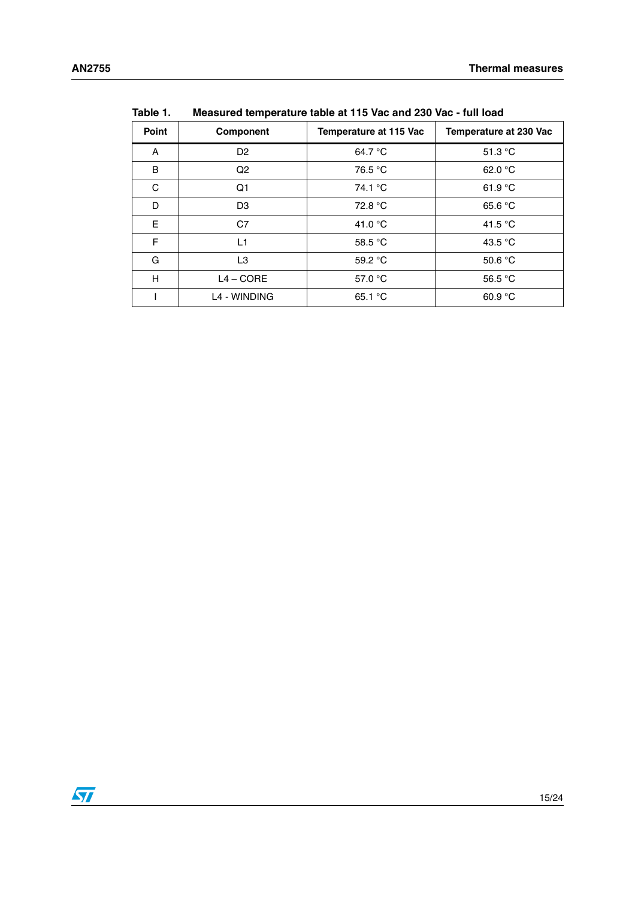|       | .г               |                        |                               |  |
|-------|------------------|------------------------|-------------------------------|--|
| Point | <b>Component</b> | Temperature at 115 Vac | <b>Temperature at 230 Vac</b> |  |
| A     | D <sub>2</sub>   | 64.7 °C                | 51.3 $\degree$ C              |  |
| B     | Q <sub>2</sub>   | 76.5 °C                | 62.0 $\degree$ C              |  |
| C     | Q1               | 74.1 °C                | 61.9 $\degree$ C              |  |
| D     | D <sub>3</sub>   | 72.8 °C                | 65.6 °C                       |  |
| E     | C7               | 41.0 $\degree$ C       | 41.5 $\degree$ C              |  |
| F     | L1               | 58.5 °C                | 43.5 °C                       |  |
| G     | L3               | 59.2 °C                | 50.6 $°C$                     |  |
| H     | $L4 - CORE$      | 57.0 °C                | 56.5 $°C$                     |  |
|       | L4 - WINDING     | 65.1 °C                | 60.9 $°C$                     |  |

<span id="page-14-0"></span>**Table 1. Measured temperature table at 115 Vac and 230 Vac - full load**

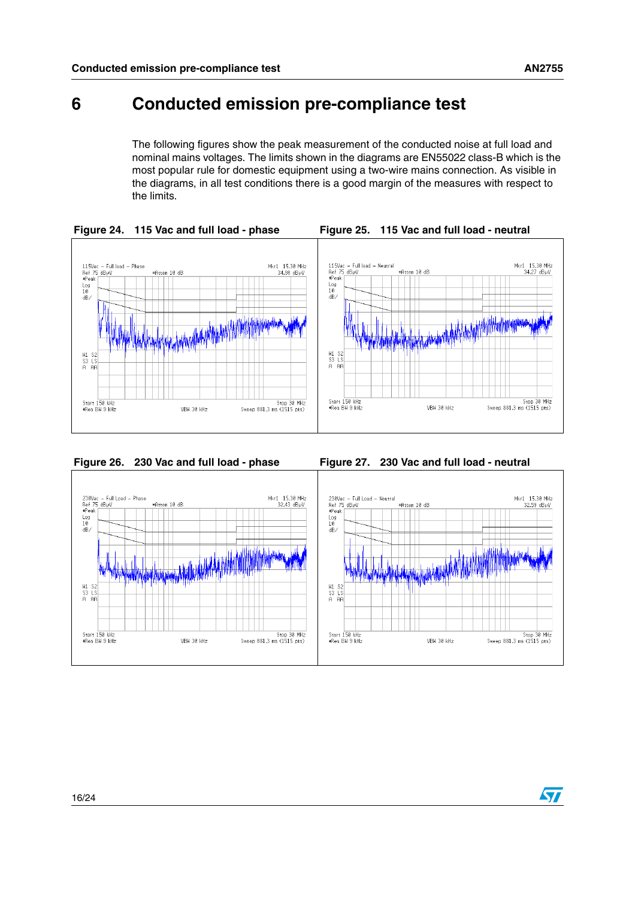### <span id="page-15-0"></span>**6 Conducted emission pre-compliance test**

<span id="page-15-2"></span>The following figures show the peak measurement of the conducted noise at full load and nominal mains voltages. The limits shown in the diagrams are EN55022 class-B which is the most popular rule for domestic equipment using a two-wire mains connection. As visible in the diagrams, in all test conditions there is a good margin of the measures with respect to the limits.

<span id="page-15-1"></span>

<span id="page-15-3"></span>

<span id="page-15-4"></span>

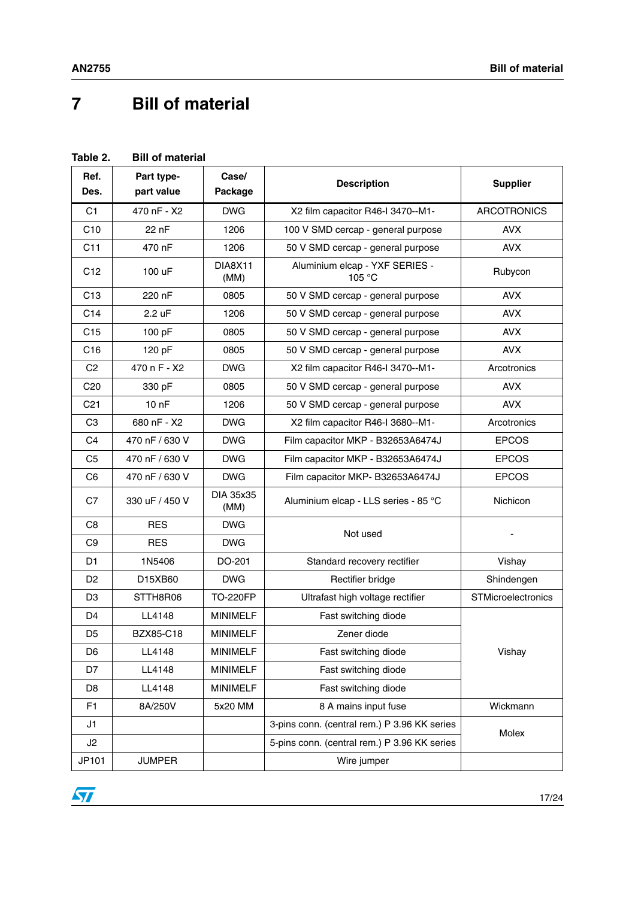# <span id="page-16-0"></span>**7 Bill of material**

#### <span id="page-16-1"></span>**Table 2. Bill of material**

| Ref.<br>Des.    | Part type-<br>part value | Case/<br>Package       | <b>Description</b>                           | <b>Supplier</b>    |
|-----------------|--------------------------|------------------------|----------------------------------------------|--------------------|
| C1              | 470 nF - X2              | <b>DWG</b>             | X2 film capacitor R46-I 3470--M1-            | <b>ARCOTRONICS</b> |
| C10             | 22 nF                    | 1206                   | 100 V SMD cercap - general purpose           | <b>AVX</b>         |
| C11             | 470 nF                   | 1206                   | 50 V SMD cercap - general purpose            | <b>AVX</b>         |
| C <sub>12</sub> | 100 uF                   | <b>DIA8X11</b><br>(MM) | Aluminium elcap - YXF SERIES -<br>105 °C     | Rubycon            |
| C <sub>13</sub> | 220 nF                   | 0805                   | 50 V SMD cercap - general purpose            | <b>AVX</b>         |
| C14             | 2.2 uF                   | 1206                   | 50 V SMD cercap - general purpose            | <b>AVX</b>         |
| C15             | 100 pF                   | 0805                   | 50 V SMD cercap - general purpose            | <b>AVX</b>         |
| C <sub>16</sub> | 120 pF                   | 0805                   | 50 V SMD cercap - general purpose            | <b>AVX</b>         |
| C <sub>2</sub>  | 470 n F - X2             | <b>DWG</b>             | X2 film capacitor R46-I 3470--M1-            | Arcotronics        |
| C <sub>20</sub> | 330 pF                   | 0805                   | 50 V SMD cercap - general purpose            | <b>AVX</b>         |
| C <sub>21</sub> | 10 <sub>nP</sub>         | 1206                   | 50 V SMD cercap - general purpose            | <b>AVX</b>         |
| C <sub>3</sub>  | 680 nF - X2              | <b>DWG</b>             | X2 film capacitor R46-I 3680--M1-            | Arcotronics        |
| C <sub>4</sub>  | 470 nF / 630 V           | <b>DWG</b>             | Film capacitor MKP - B32653A6474J            | <b>EPCOS</b>       |
| C <sub>5</sub>  | 470 nF / 630 V           | <b>DWG</b>             | Film capacitor MKP - B32653A6474J            | <b>EPCOS</b>       |
| C <sub>6</sub>  | 470 nF / 630 V           | <b>DWG</b>             | Film capacitor MKP- B32653A6474J             | <b>EPCOS</b>       |
| C7              | 330 uF / 450 V           | DIA 35x35<br>(MM)      | Aluminium elcap - LLS series - 85 °C         | Nichicon           |
| C <sub>8</sub>  | <b>RES</b>               | <b>DWG</b>             | Not used                                     |                    |
| C <sub>9</sub>  | <b>RES</b>               | <b>DWG</b>             |                                              |                    |
| D <sub>1</sub>  | 1N5406                   | DO-201                 | Standard recovery rectifier                  | Vishay             |
| D <sub>2</sub>  | D15XB60                  | <b>DWG</b>             | Rectifier bridge                             | Shindengen         |
| D <sub>3</sub>  | STTH8R06                 | <b>TO-220FP</b>        | Ultrafast high voltage rectifier             | STMicroelectronics |
| D <sub>4</sub>  | LL4148                   | <b>MINIMELF</b>        | Fast switching diode                         |                    |
| D <sub>5</sub>  | BZX85-C18                | <b>MINIMELF</b>        | Zener diode                                  |                    |
| D <sub>6</sub>  | LL4148                   | <b>MINIMELF</b>        | Fast switching diode                         | Vishay             |
| D7              | LL4148                   | <b>MINIMELF</b>        | Fast switching diode                         |                    |
| D8              | LL4148                   | <b>MINIMELF</b>        | Fast switching diode                         |                    |
| F <sub>1</sub>  | 8A/250V                  | 5x20 MM                | 8 A mains input fuse                         | Wickmann           |
| J1              |                          |                        | 3-pins conn. (central rem.) P 3.96 KK series | Molex              |
| J2              |                          |                        | 5-pins conn. (central rem.) P 3.96 KK series |                    |
| JP101           | <b>JUMPER</b>            |                        | Wire jumper                                  |                    |

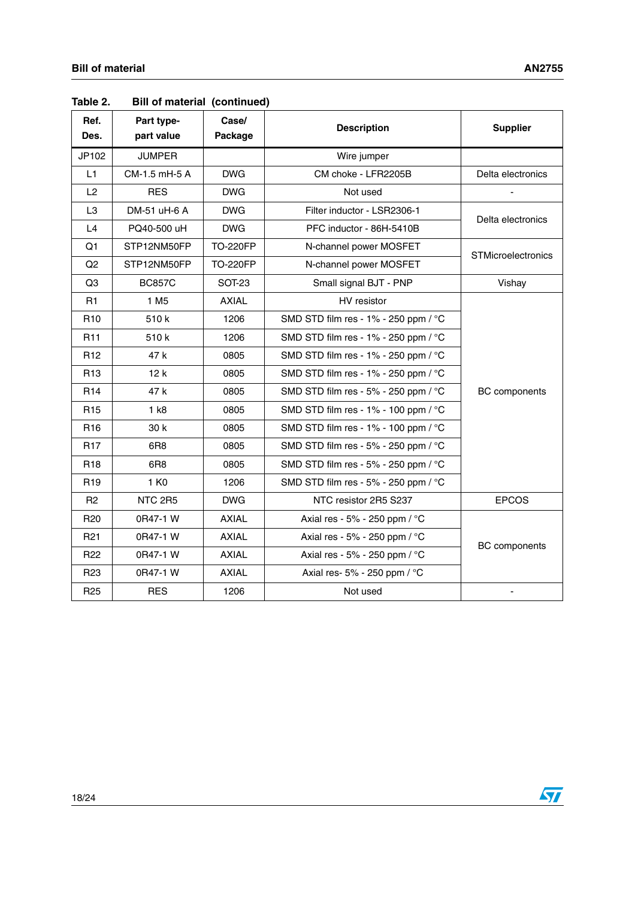| Ref.<br>Des.    | Part type-<br>part value | Case/<br>Package | <b>Description</b>                                | <b>Supplier</b>           |
|-----------------|--------------------------|------------------|---------------------------------------------------|---------------------------|
| JP102           | <b>JUMPER</b>            |                  | Wire jumper                                       |                           |
| L1.             | CM-1.5 mH-5 A            | <b>DWG</b>       | CM choke - LFR2205B                               | Delta electronics         |
| L2              | <b>RES</b>               | <b>DWG</b>       | Not used                                          |                           |
| L <sub>3</sub>  | DM-51 uH-6 A             | <b>DWG</b>       | Filter inductor - LSR2306-1                       | Delta electronics         |
| L4              | PQ40-500 uH              | <b>DWG</b>       | PFC inductor - 86H-5410B                          |                           |
| Q1              | STP12NM50FP              | <b>TO-220FP</b>  | N-channel power MOSFET                            | <b>STMicroelectronics</b> |
| Q2              | STP12NM50FP              | <b>TO-220FP</b>  | N-channel power MOSFET                            |                           |
| Q <sub>3</sub>  | <b>BC857C</b>            | <b>SOT-23</b>    | Small signal BJT - PNP                            | Vishay                    |
| R1              | 1 M <sub>5</sub>         | <b>AXIAL</b>     | HV resistor                                       |                           |
| R <sub>10</sub> | 510 k                    | 1206             | SMD STD film res - 1% - 250 ppm / °C              |                           |
| R <sub>11</sub> | 510 k                    | 1206             | SMD STD film res - 1% - 250 ppm / °C              |                           |
| R <sub>12</sub> | 47 k                     | 0805             | SMD STD film res - 1% - 250 ppm / °C              |                           |
| R <sub>13</sub> | 12k                      | 0805             | SMD STD film res - 1% - 250 ppm / °C              |                           |
| R <sub>14</sub> | 47 k                     | 0805             | SMD STD film res - $5\%$ - 250 ppm / $^{\circ}$ C | <b>BC</b> components      |
| R <sub>15</sub> | 1 k8                     | 0805             | SMD STD film res - 1% - 100 ppm / °C              |                           |
| R <sub>16</sub> | 30 k                     | 0805             | SMD STD film res - 1% - 100 ppm / °C              |                           |
| R <sub>17</sub> | 6R8                      | 0805             | SMD STD film res - 5% - 250 ppm / °C              |                           |
| R <sub>18</sub> | 6R <sub>8</sub>          | 0805             | SMD STD film res - $5\%$ - 250 ppm / $^{\circ}$ C |                           |
| R <sub>19</sub> | 1 K <sub>0</sub>         | 1206             | SMD STD film res - 5% - 250 ppm / °C              |                           |
| R <sub>2</sub>  | NTC 2R5                  | <b>DWG</b>       | NTC resistor 2R5 S237                             | <b>EPCOS</b>              |
| R <sub>20</sub> | 0R47-1 W                 | <b>AXIAL</b>     | Axial res - 5% - 250 ppm / °C                     |                           |
| R <sub>21</sub> | 0R47-1 W                 | <b>AXIAL</b>     | Axial res - 5% - 250 ppm / °C                     |                           |
| R <sub>22</sub> | 0R47-1 W                 | <b>AXIAL</b>     | Axial res - 5% - 250 ppm / °C                     | <b>BC</b> components      |
| R <sub>23</sub> | 0R47-1 W                 | <b>AXIAL</b>     | Axial res- 5% - 250 ppm / °C                      |                           |
| R <sub>25</sub> | <b>RES</b>               | 1206             | Not used                                          |                           |

**Table 2. Bill of material (continued)**

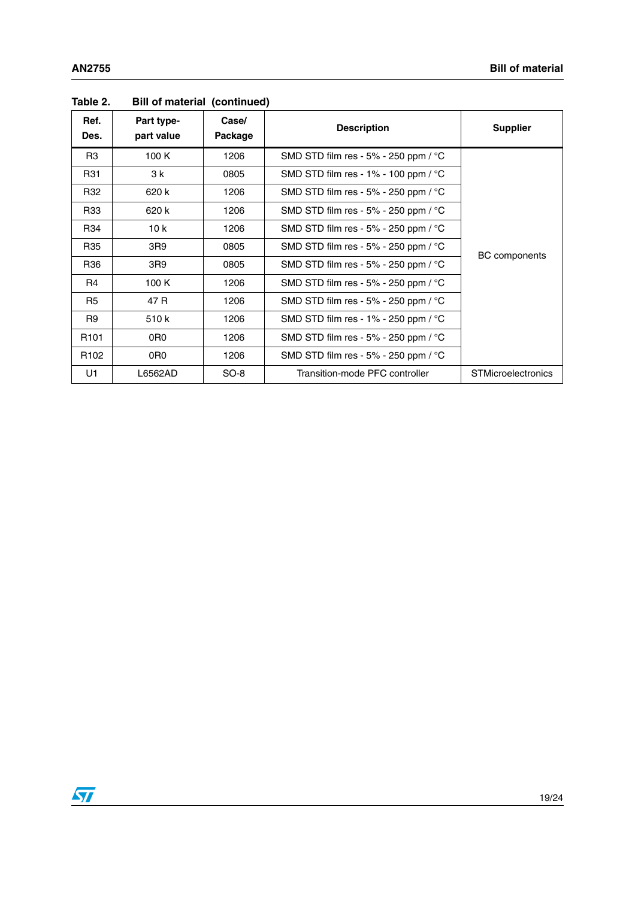| Ref.<br>Des.     | Part type-<br>part value | Case/<br>Package | <b>Description</b>                                | <b>Supplier</b>           |
|------------------|--------------------------|------------------|---------------------------------------------------|---------------------------|
| R <sub>3</sub>   | 100 K                    | 1206             | SMD STD film res - $5\%$ - 250 ppm / $^{\circ}$ C |                           |
| R31              | 3 k                      | 0805             | SMD STD film res - $1\%$ - 100 ppm / $^{\circ}$ C |                           |
| R32              | 620 k                    | 1206             | SMD STD film res - 5% - 250 ppm / $^{\circ}$ C    |                           |
| R33              | 620 k                    | 1206             | SMD STD film res - $5\%$ - 250 ppm / $^{\circ}$ C |                           |
| R34              | 10k                      | 1206             | SMD STD film res - $5\%$ - 250 ppm / $^{\circ}$ C |                           |
| R35              | 3R9                      | 0805             | SMD STD film res - $5\%$ - 250 ppm / $^{\circ}$ C |                           |
| R36              | 3R9                      | 0805             | SMD STD film res - $5\%$ - 250 ppm / $^{\circ}$ C | <b>BC</b> components      |
| R4               | 100K                     | 1206             | SMD STD film res - $5\%$ - 250 ppm / $^{\circ}$ C |                           |
| R <sub>5</sub>   | 47 R                     | 1206             | SMD STD film res - 5% - 250 ppm / $^{\circ}$ C    |                           |
| R <sub>9</sub>   | 510 k                    | 1206             | SMD STD film res - $1\%$ - 250 ppm / $^{\circ}$ C |                           |
| R <sub>101</sub> | 0R0                      | 1206             | SMD STD film res - 5% - 250 ppm / $^{\circ}$ C    |                           |
| R <sub>102</sub> | 0R <sub>0</sub>          | 1206             | SMD STD film res - $5\%$ - 250 ppm / $^{\circ}$ C |                           |
| U1               | L6562AD                  | $SO-8$           | Transition-mode PFC controller                    | <b>STMicroelectronics</b> |

#### **Table 2. Bill of material (continued)**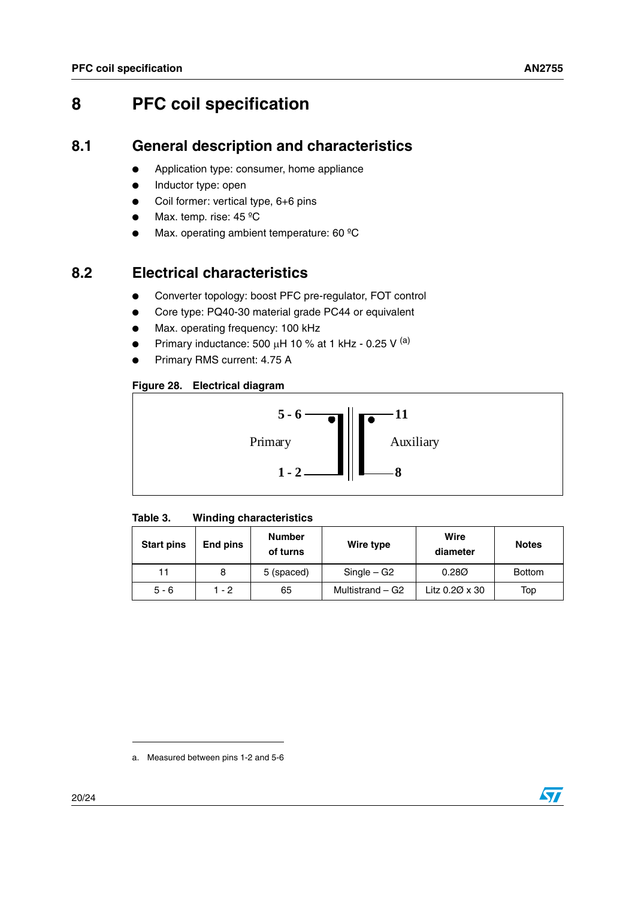## <span id="page-19-0"></span>**8 PFC coil specification**

#### <span id="page-19-1"></span>**8.1 General description and characteristics**

- Application type: consumer, home appliance
- Inductor type: open
- Coil former: vertical type, 6+6 pins
- Max. temp. rise: 45 °C
- Max. operating ambient temperature: 60 °C

#### <span id="page-19-2"></span>**8.2 Electrical characteristics**

- Converter topology: boost PFC pre-regulator, FOT control
- Core type: PQ40-30 material grade PC44 or equivalent
- Max. operating frequency: 100 kHz
- Primary inductance: 500  $\mu$ H 10 % at 1 kHz 0.25 V <sup>(a)</sup>
- Primary RMS current: 4.75 A

#### <span id="page-19-4"></span>**Figure 28. Electrical diagram**



#### <span id="page-19-3"></span>**Table 3. Winding characteristics**

| <b>Start pins</b> | End pins | <b>Number</b><br>of turns | Wire type        | Wire<br>diameter      | <b>Notes</b>  |
|-------------------|----------|---------------------------|------------------|-----------------------|---------------|
|                   |          | 5 (spaced)                | $Single - G2$    | 0.280                 | <b>Bottom</b> |
| $5 - 6$           | $1 - 2$  | 65                        | Multistrand – G2 | Litz $0.20 \times 30$ | Top           |

a. Measured between pins 1-2 and 5-6

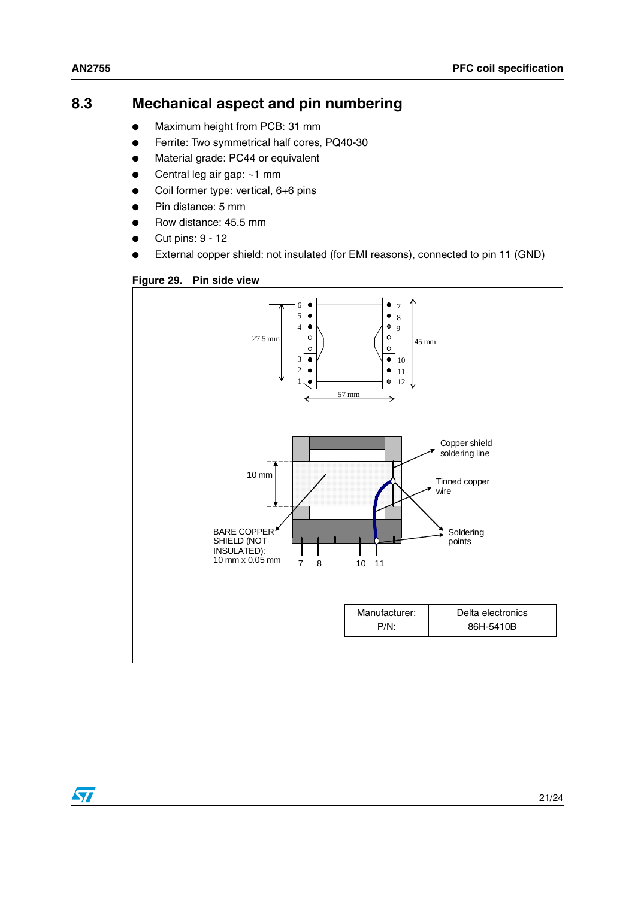$\sqrt{2}$ 

#### <span id="page-20-0"></span>**8.3 Mechanical aspect and pin numbering**

- Maximum height from PCB: 31 mm
- Ferrite: Two symmetrical half cores, PQ40-30
- Material grade: PC44 or equivalent
- Central leg air gap: ~1 mm
- Coil former type: vertical, 6+6 pins
- Pin distance: 5 mm
- Row distance: 45.5 mm
- Cut pins: 9 12
- External copper shield: not insulated (for EMI reasons), connected to pin 11 (GND)

<span id="page-20-1"></span>

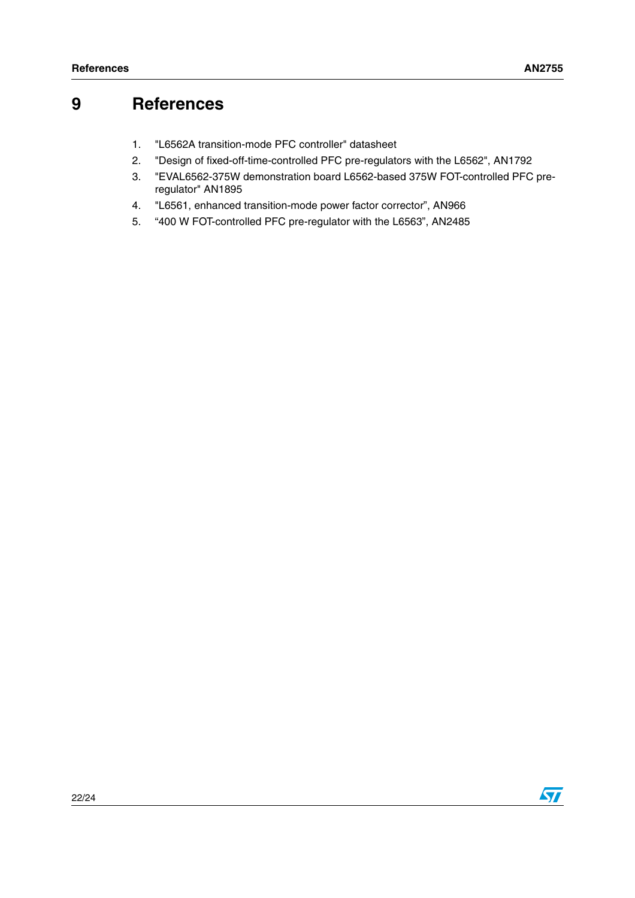### <span id="page-21-0"></span>**9 References**

- 1. "L6562A transition-mode PFC controller" datasheet
- 2. "Design of fixed-off-time-controlled PFC pre-regulators with the L6562", AN1792
- 3. "EVAL6562-375W demonstration board L6562-based 375W FOT-controlled PFC preregulator" AN1895
- 4. "L6561, enhanced transition-mode power factor corrector", AN966
- 5. "400 W FOT-controlled PFC pre-regulator with the L6563", AN2485

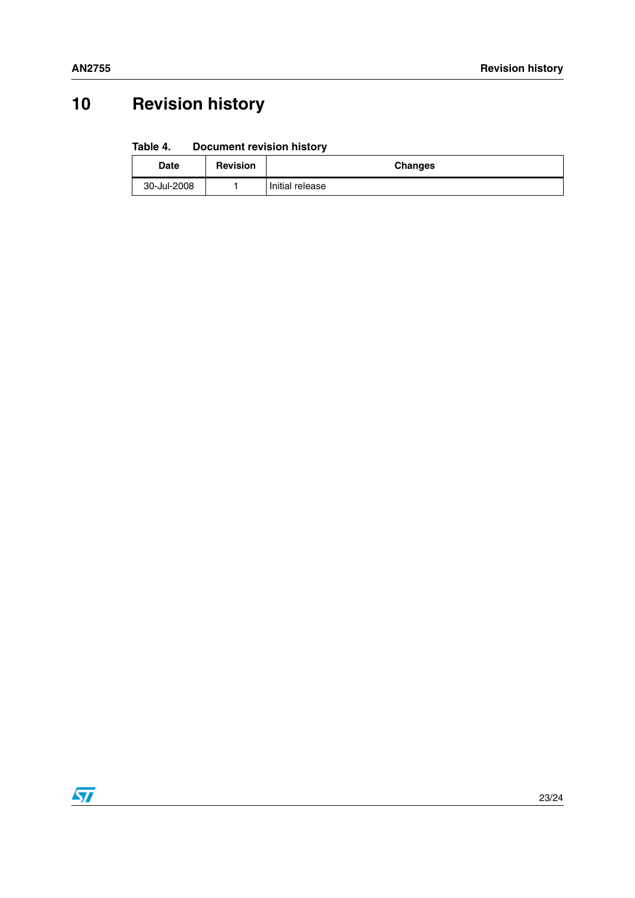# <span id="page-22-0"></span>**10 Revision history**

#### <span id="page-22-1"></span>Table 4. **Document revision history**

| <b>Date</b> | <b>Revision</b> | <b>Changes</b>  |
|-------------|-----------------|-----------------|
| 30-Jul-2008 |                 | Initial release |